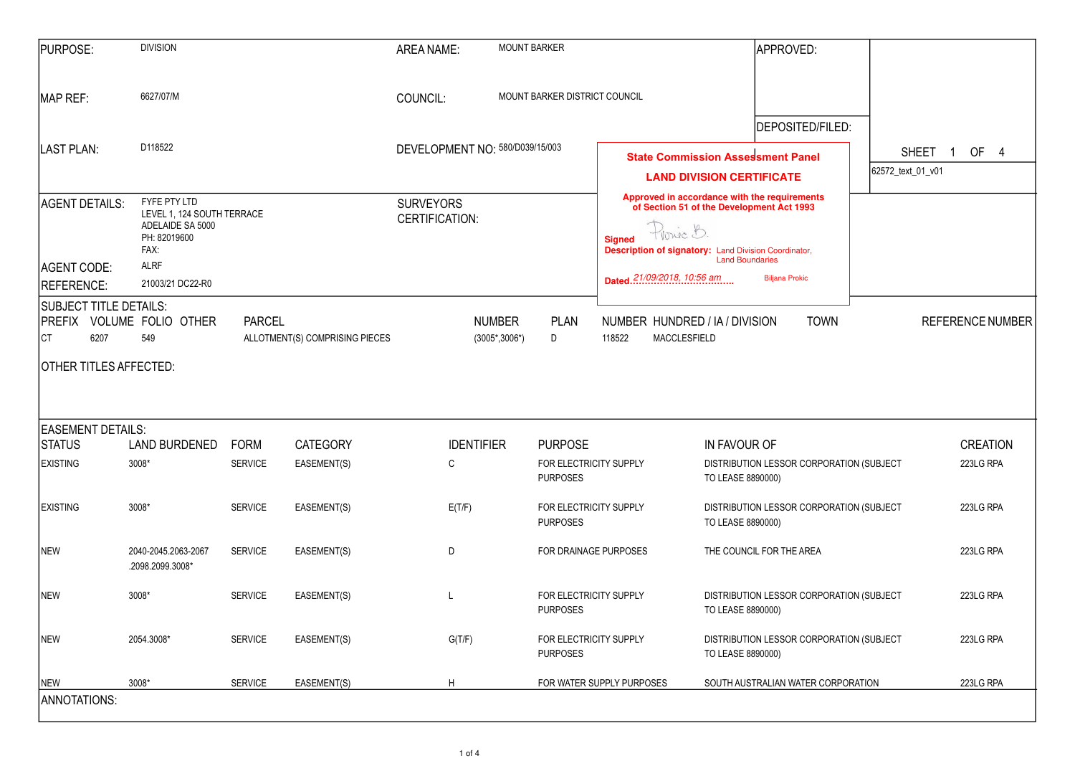| <b>PURPOSE:</b>                                                                                                                        | <b>DIVISION</b>                               |                                           |                                | <b>AREA NAME:</b>                                                                                                                                                                                                                                    | <b>MOUNT BARKER</b>                                         |                                              | <b>APPROVED:</b>                                                                              |              |                              |
|----------------------------------------------------------------------------------------------------------------------------------------|-----------------------------------------------|-------------------------------------------|--------------------------------|------------------------------------------------------------------------------------------------------------------------------------------------------------------------------------------------------------------------------------------------------|-------------------------------------------------------------|----------------------------------------------|-----------------------------------------------------------------------------------------------|--------------|------------------------------|
| MAP REF:                                                                                                                               | 6627/07/M                                     |                                           |                                | COUNCIL:                                                                                                                                                                                                                                             | MOUNT BARKER DISTRICT COUNCIL                               |                                              |                                                                                               |              |                              |
| <b>LAST PLAN:</b>                                                                                                                      | D118522                                       |                                           |                                | DEVELOPMENT NO: 580/D039/15/003                                                                                                                                                                                                                      |                                                             |                                              | DEPOSITED/FILED:<br><b>State Commission Assessment Panel</b>                                  | <b>SHEET</b> | OF 4<br>$\mathbf{1}$         |
| FYFE PTY LTD<br>AGENT DETAILS:<br>LEVEL 1, 124 SOUTH TERRACE<br>ADELAIDE SA 5000<br>PH: 82019600<br>FAX:<br><b>ALRF</b><br>AGENT CODE: |                                               | <b>SURVEYORS</b><br><b>CERTIFICATION:</b> |                                | <b>LAND DIVISION CERTIFICATE</b><br>Approved in accordance with the requirements<br>of Section 51 of the Development Act 1993<br>Provic B.<br><b>Signed</b><br><b>Description of signatory: Land Division Coordinator,</b><br><b>Land Boundaries</b> |                                                             | 62572_text_01_v01                            |                                                                                               |              |                              |
| REFERENCE:<br>SUBJECT TITLE DETAILS:<br><b>PREFIX</b>                                                                                  | 21003/21 DC22-R0<br>VOLUME FOLIO OTHER<br>549 | <b>PARCEL</b>                             | ALLOTMENT(S) COMPRISING PIECES |                                                                                                                                                                                                                                                      | <b>NUMBER</b><br><b>PLAN</b><br>$(3005^*, 3006^*)$<br>D     | <b>Dated.</b> 21/09/2018, 10:56 am<br>118522 | <b>Biljana Prokic</b><br>NUMBER HUNDRED / IA / DIVISION<br><b>TOWN</b><br><b>MACCLESFIELD</b> |              | <b>REFERENCE NUMBER</b>      |
| <b>CT</b><br>6207                                                                                                                      |                                               |                                           |                                |                                                                                                                                                                                                                                                      |                                                             |                                              |                                                                                               |              |                              |
|                                                                                                                                        | OTHER TITLES AFFECTED:                        |                                           |                                |                                                                                                                                                                                                                                                      |                                                             |                                              |                                                                                               |              |                              |
| <b>EASEMENT DETAILS:</b>                                                                                                               |                                               |                                           |                                |                                                                                                                                                                                                                                                      |                                                             |                                              |                                                                                               |              |                              |
| <b>STATUS</b><br><b>EXISTING</b>                                                                                                       | LAND BURDENED FORM<br>3008*                   | <b>SERVICE</b>                            | CATEGORY<br>EASEMENT(S)        | <b>IDENTIFIER</b><br>C                                                                                                                                                                                                                               | <b>PURPOSE</b><br>FOR ELECTRICITY SUPPLY<br><b>PURPOSES</b> |                                              | IN FAVOUR OF<br>DISTRIBUTION LESSOR CORPORATION (SUBJECT<br>TO LEASE 8890000)                 |              | <b>CREATION</b><br>223LG RPA |
| <b>EXISTING</b>                                                                                                                        | 3008*                                         | <b>SERVICE</b>                            | EASEMENT(S)                    | E(T/F)                                                                                                                                                                                                                                               | FOR ELECTRICITY SUPPLY<br><b>PURPOSES</b>                   |                                              | DISTRIBUTION LESSOR CORPORATION (SUBJECT<br>TO LEASE 8890000)                                 |              | 223LG RPA                    |
| <b>NEW</b>                                                                                                                             | 2040-2045.2063-2067<br>.2098.2099.3008*       | <b>SERVICE</b>                            | EASEMENT(S)                    | D                                                                                                                                                                                                                                                    |                                                             | FOR DRAINAGE PURPOSES                        | THE COUNCIL FOR THE AREA                                                                      |              | 223LG RPA                    |
| <b>NEW</b>                                                                                                                             | 3008*                                         | <b>SERVICE</b>                            | EASEMENT(S)                    | L                                                                                                                                                                                                                                                    | FOR ELECTRICITY SUPPLY<br><b>PURPOSES</b>                   |                                              | DISTRIBUTION LESSOR CORPORATION (SUBJECT<br>TO LEASE 8890000)                                 |              | 223LG RPA                    |
| <b>NEW</b>                                                                                                                             | 2054.3008*                                    | <b>SERVICE</b>                            | EASEMENT(S)                    | G(T/F)                                                                                                                                                                                                                                               | <b>PURPOSES</b>                                             | FOR ELECTRICITY SUPPLY                       | DISTRIBUTION LESSOR CORPORATION (SUBJECT<br>TO LEASE 8890000)                                 |              | 223LG RPA                    |

| $\mathbf{r}$  |                    |                                            |
|---------------|--------------------|--------------------------------------------|
|               |                    |                                            |
|               |                    |                                            |
| )/FILED:      |                    |                                            |
| el            |                    | SHEET <sub>1</sub><br>OF<br>$\overline{4}$ |
|               | 62572_text_01_v01  |                                            |
| nts<br>ì      |                    |                                            |
|               |                    |                                            |
|               |                    |                                            |
|               |                    |                                            |
| <b>OWN</b>    |                    | <b>REFERENCE NUMBER</b>                    |
|               |                    |                                            |
|               |                    |                                            |
|               |                    |                                            |
|               |                    |                                            |
|               |                    | <b>CREATION</b>                            |
|               | RPORATION (SUBJECT | 223LG RPA                                  |
|               | RPORATION (SUBJECT | 223LG RPA                                  |
|               |                    |                                            |
| ΞA            |                    | 223LG RPA                                  |
|               |                    |                                            |
|               | RPORATION (SUBJECT | 223LG RPA                                  |
|               |                    |                                            |
|               | RPORATION (SUBJECT | 223LG RPA                                  |
| R CORPORATION |                    | 223LG RPA                                  |
|               |                    |                                            |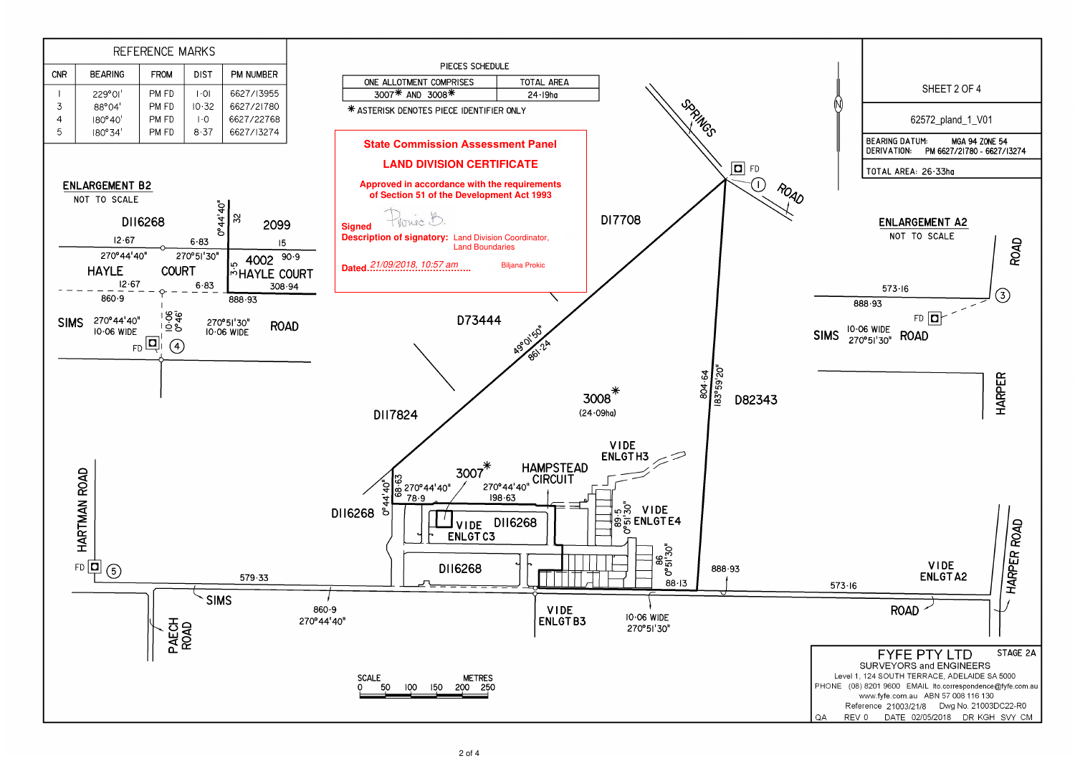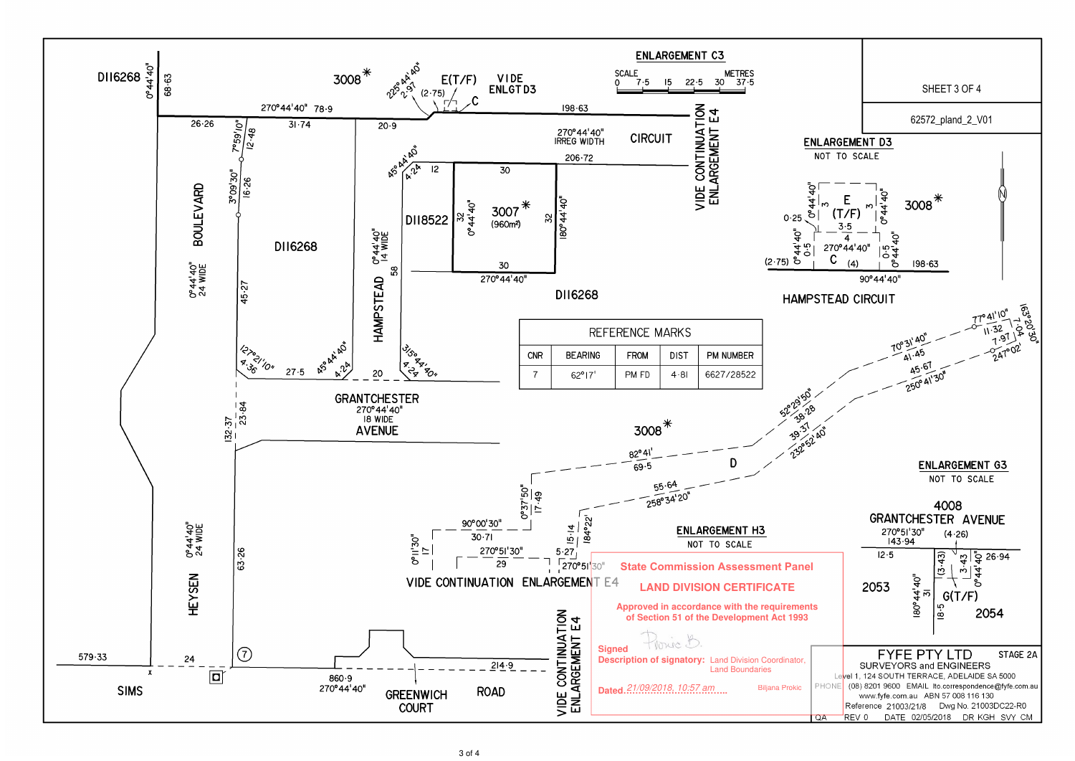